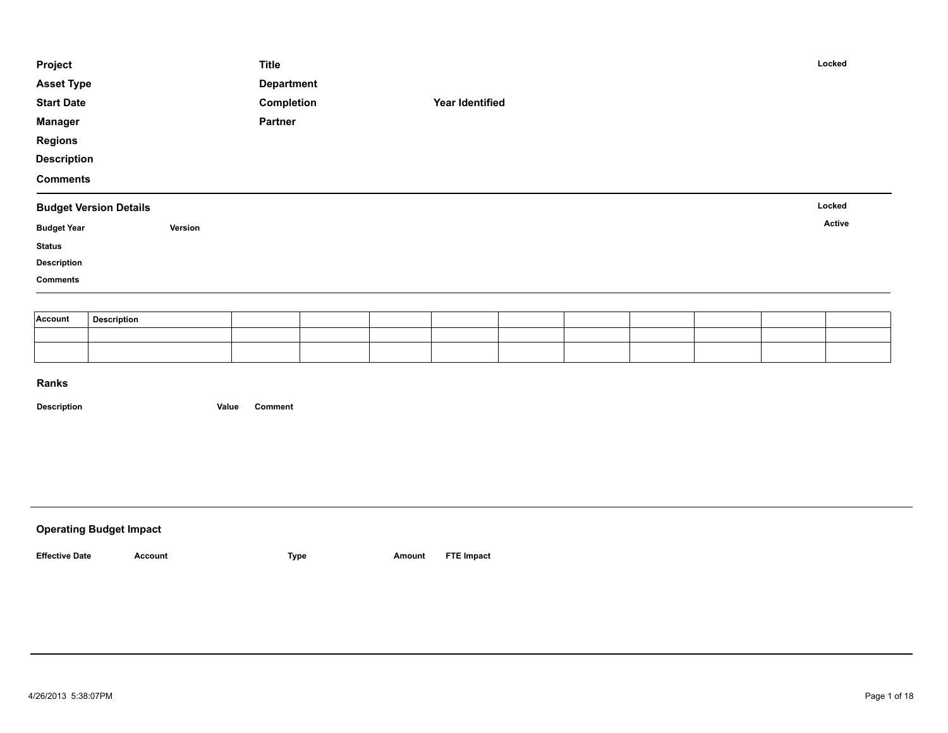| Project            |                               |         | <b>Title</b>      |  |                 |  |  | Locked |
|--------------------|-------------------------------|---------|-------------------|--|-----------------|--|--|--------|
| <b>Asset Type</b>  |                               |         | <b>Department</b> |  |                 |  |  |        |
| <b>Start Date</b>  |                               |         | Completion        |  | Year Identified |  |  |        |
| <b>Manager</b>     |                               |         | Partner           |  |                 |  |  |        |
| <b>Regions</b>     |                               |         |                   |  |                 |  |  |        |
| <b>Description</b> |                               |         |                   |  |                 |  |  |        |
| <b>Comments</b>    |                               |         |                   |  |                 |  |  |        |
|                    | <b>Budget Version Details</b> |         |                   |  |                 |  |  | Locked |
| <b>Budget Year</b> |                               | Version |                   |  |                 |  |  | Active |
| <b>Status</b>      |                               |         |                   |  |                 |  |  |        |
| <b>Description</b> |                               |         |                   |  |                 |  |  |        |
| <b>Comments</b>    |                               |         |                   |  |                 |  |  |        |
|                    |                               |         |                   |  |                 |  |  |        |
|                    |                               |         |                   |  |                 |  |  |        |
| Account            | <b>Description</b>            |         |                   |  |                 |  |  |        |

| <b>Operating Budget Impact</b> |         |      |        |                   |
|--------------------------------|---------|------|--------|-------------------|
| <b>Effective Date</b>          | Account | Type | Amount | <b>FTE Impact</b> |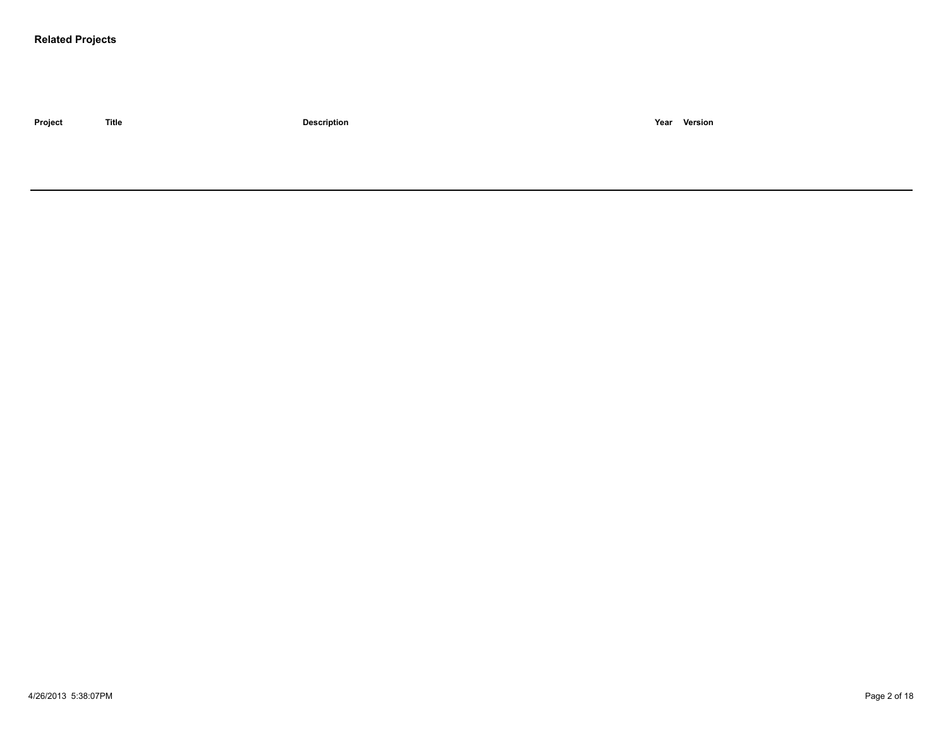### **Related Projects**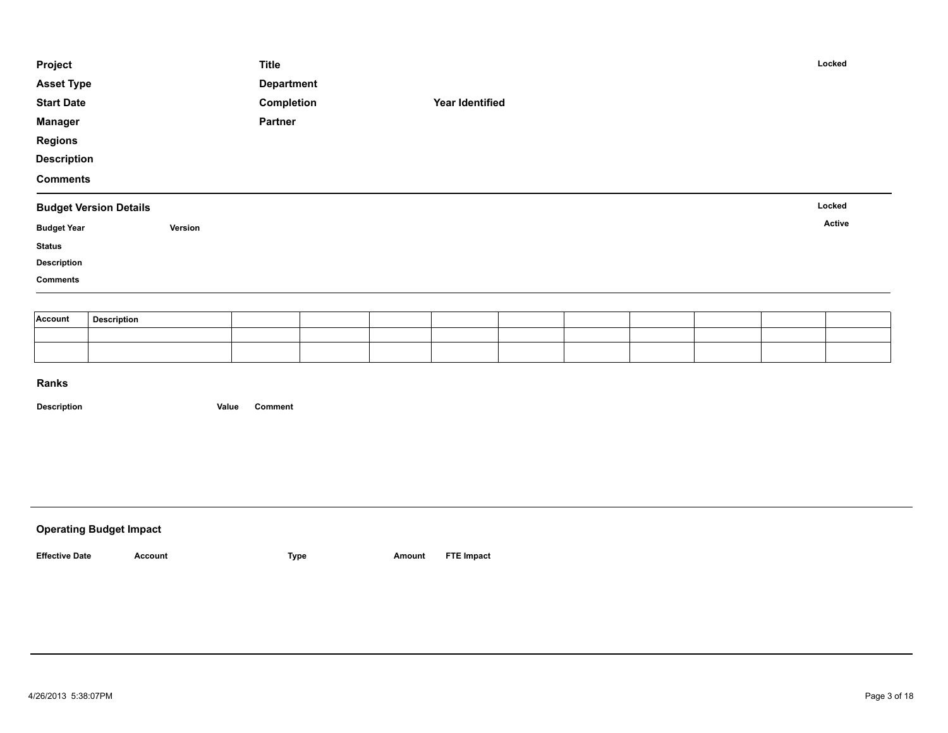| Project            |                               |         | <b>Title</b>      |  |                        |  |  | Locked |
|--------------------|-------------------------------|---------|-------------------|--|------------------------|--|--|--------|
| <b>Asset Type</b>  |                               |         | <b>Department</b> |  |                        |  |  |        |
| <b>Start Date</b>  |                               |         | Completion        |  | <b>Year Identified</b> |  |  |        |
| <b>Manager</b>     |                               |         | Partner           |  |                        |  |  |        |
| <b>Regions</b>     |                               |         |                   |  |                        |  |  |        |
| <b>Description</b> |                               |         |                   |  |                        |  |  |        |
| <b>Comments</b>    |                               |         |                   |  |                        |  |  |        |
|                    | <b>Budget Version Details</b> |         |                   |  |                        |  |  | Locked |
| <b>Budget Year</b> |                               | Version |                   |  |                        |  |  | Active |
| <b>Status</b>      |                               |         |                   |  |                        |  |  |        |
| <b>Description</b> |                               |         |                   |  |                        |  |  |        |
| <b>Comments</b>    |                               |         |                   |  |                        |  |  |        |
|                    |                               |         |                   |  |                        |  |  |        |
| Account            | <b>Description</b>            |         |                   |  |                        |  |  |        |
|                    |                               |         |                   |  |                        |  |  |        |

| <b>Operating Budget Impact</b> |         |      |        |                   |
|--------------------------------|---------|------|--------|-------------------|
| <b>Effective Date</b>          | Account | Type | Amount | <b>FTE Impact</b> |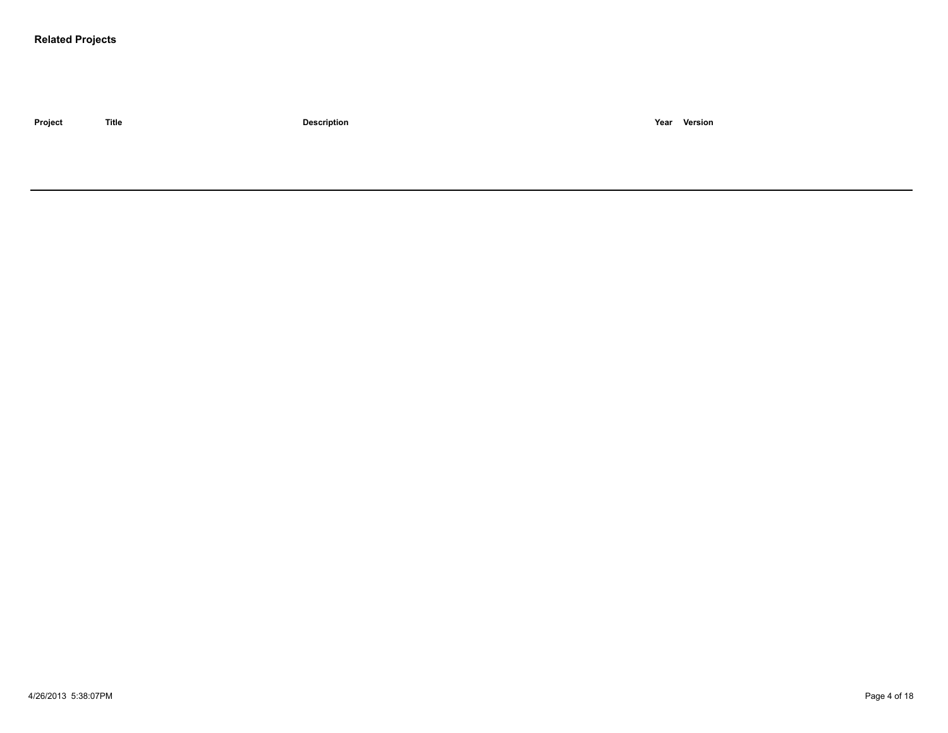### **Related Projects**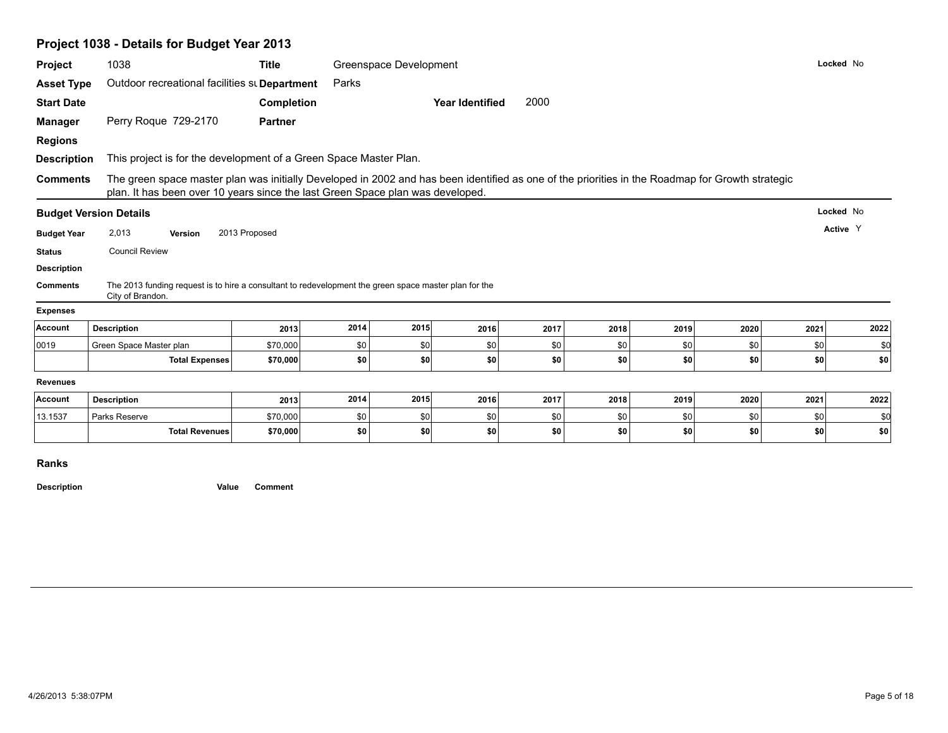|                    | Project 1038 - Details for Budget Year 2013                                                                                                                                                                                        |                      |            |                        |                        |            |            |            |            |            |            |
|--------------------|------------------------------------------------------------------------------------------------------------------------------------------------------------------------------------------------------------------------------------|----------------------|------------|------------------------|------------------------|------------|------------|------------|------------|------------|------------|
| Project            | 1038                                                                                                                                                                                                                               | <b>Title</b>         |            | Greenspace Development |                        |            |            |            |            |            | Locked No  |
| <b>Asset Type</b>  | Outdoor recreational facilities st Department                                                                                                                                                                                      |                      | Parks      |                        |                        |            |            |            |            |            |            |
| <b>Start Date</b>  |                                                                                                                                                                                                                                    | <b>Completion</b>    |            |                        | <b>Year Identified</b> | 2000       |            |            |            |            |            |
| <b>Manager</b>     | Perry Roque 729-2170                                                                                                                                                                                                               | <b>Partner</b>       |            |                        |                        |            |            |            |            |            |            |
| <b>Regions</b>     |                                                                                                                                                                                                                                    |                      |            |                        |                        |            |            |            |            |            |            |
| <b>Description</b> | This project is for the development of a Green Space Master Plan.                                                                                                                                                                  |                      |            |                        |                        |            |            |            |            |            |            |
| <b>Comments</b>    | The green space master plan was initially Developed in 2002 and has been identified as one of the priorities in the Roadmap for Growth strategic<br>plan. It has been over 10 years since the last Green Space plan was developed. |                      |            |                        |                        |            |            |            |            |            |            |
|                    | <b>Budget Version Details</b>                                                                                                                                                                                                      |                      |            |                        |                        |            |            |            |            |            | Locked No  |
| <b>Budget Year</b> | 2,013<br>Version                                                                                                                                                                                                                   | 2013 Proposed        |            |                        |                        |            |            |            |            |            | Active Y   |
| <b>Status</b>      | <b>Council Review</b>                                                                                                                                                                                                              |                      |            |                        |                        |            |            |            |            |            |            |
| <b>Description</b> |                                                                                                                                                                                                                                    |                      |            |                        |                        |            |            |            |            |            |            |
| <b>Comments</b>    | The 2013 funding request is to hire a consultant to redevelopment the green space master plan for the<br>City of Brandon.                                                                                                          |                      |            |                        |                        |            |            |            |            |            |            |
| <b>Expenses</b>    |                                                                                                                                                                                                                                    |                      |            |                        |                        |            |            |            |            |            |            |
| Account            | <b>Description</b>                                                                                                                                                                                                                 | 2013                 | 2014       | 2015                   | 2016                   | 2017       | 2018       | 2019       | 2020       | 2021       | 2022       |
|                    |                                                                                                                                                                                                                                    |                      |            |                        |                        |            | \$0        | \$0        | \$0        | \$0        | \$0        |
| 0019               | Green Space Master plan                                                                                                                                                                                                            | \$70,000             | \$0        | \$0                    | \$0                    | \$0        |            |            |            |            |            |
|                    | <b>Total Expenses</b>                                                                                                                                                                                                              | \$70,000             | \$0        | \$0                    | \$0                    | \$0        | \$0        | \$0        | \$0        | \$0        | \$0        |
| <b>Revenues</b>    |                                                                                                                                                                                                                                    |                      |            |                        |                        |            |            |            |            |            |            |
| Account            | <b>Description</b>                                                                                                                                                                                                                 | 2013                 | 2014       | 2015                   | 2016                   | 2017       | 2018       | 2019       | 2020       | 2021       | 2022       |
| 13.1537            | Parks Reserve<br><b>Total Revenues</b>                                                                                                                                                                                             | \$70,000<br>\$70,000 | \$0<br>\$0 | \$0<br>\$0             | \$0<br>\$0             | \$0<br>\$0 | \$0<br>\$0 | \$0<br>\$0 | \$0<br>\$0 | \$0<br>\$0 | \$d<br>\$0 |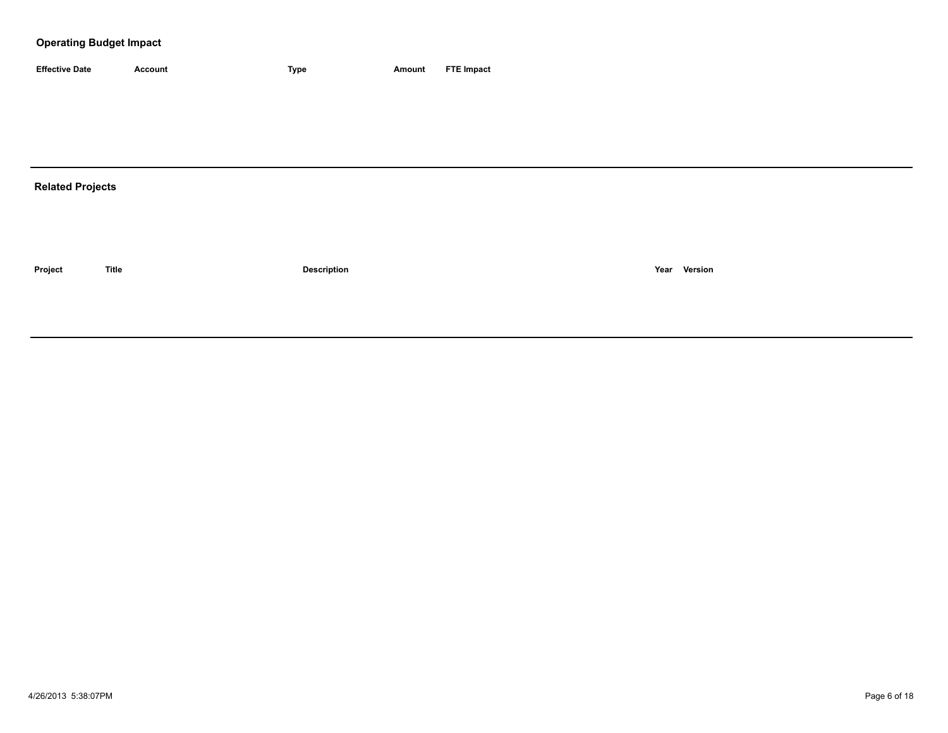| <b>Effective Date</b> | Account | <b>Type</b> | Amount | <b>FTE Impact</b> |
|-----------------------|---------|-------------|--------|-------------------|

# **Related Projects**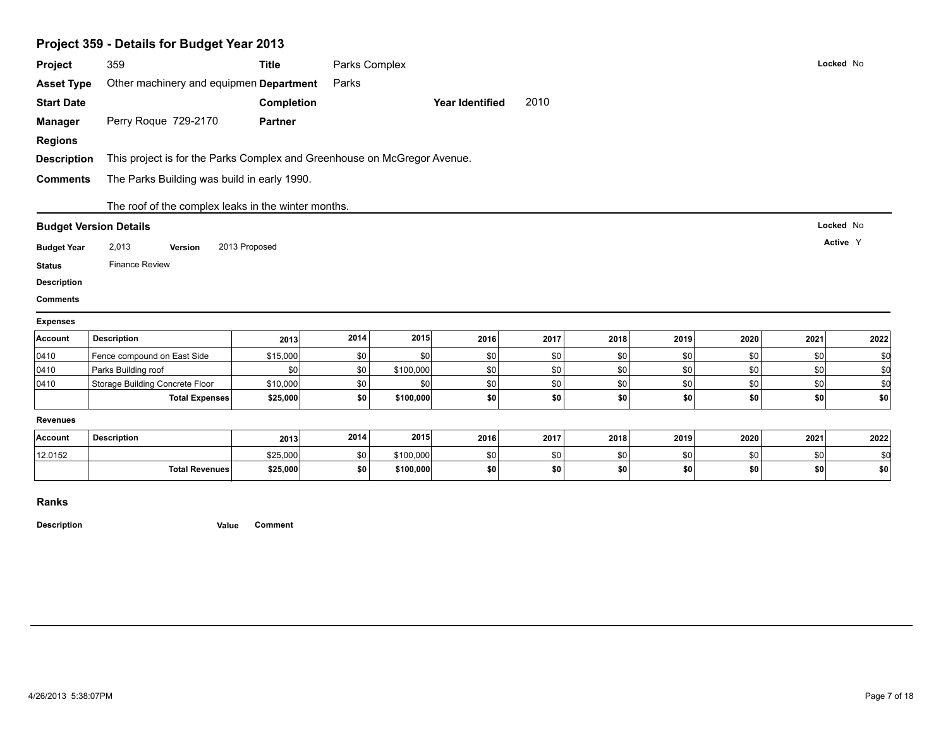| Project 359 - Details for Budget Year 2013 |                                                                          |                   |               |           |                        |      |      |      |      |      |           |
|--------------------------------------------|--------------------------------------------------------------------------|-------------------|---------------|-----------|------------------------|------|------|------|------|------|-----------|
| Project                                    | 359                                                                      | <b>Title</b>      | Parks Complex |           |                        |      |      |      |      |      | Locked No |
| <b>Asset Type</b>                          | Other machinery and equipmen Department                                  |                   | Parks         |           |                        |      |      |      |      |      |           |
| <b>Start Date</b>                          |                                                                          | <b>Completion</b> |               |           | <b>Year Identified</b> | 2010 |      |      |      |      |           |
| <b>Manager</b>                             | Perry Roque 729-2170                                                     | <b>Partner</b>    |               |           |                        |      |      |      |      |      |           |
| <b>Regions</b>                             |                                                                          |                   |               |           |                        |      |      |      |      |      |           |
| <b>Description</b>                         | This project is for the Parks Complex and Greenhouse on McGregor Avenue. |                   |               |           |                        |      |      |      |      |      |           |
| <b>Comments</b>                            | The Parks Building was build in early 1990.                              |                   |               |           |                        |      |      |      |      |      |           |
|                                            |                                                                          |                   |               |           |                        |      |      |      |      |      |           |
|                                            | The roof of the complex leaks in the winter months.                      |                   |               |           |                        |      |      |      |      |      |           |
|                                            | <b>Budget Version Details</b>                                            |                   |               |           |                        |      |      |      |      |      | Locked No |
|                                            |                                                                          |                   |               |           |                        |      |      |      |      |      |           |
| <b>Budget Year</b>                         | 2,013<br>Version                                                         | 2013 Proposed     |               |           |                        |      |      |      |      |      | Active Y  |
| <b>Status</b>                              | <b>Finance Review</b>                                                    |                   |               |           |                        |      |      |      |      |      |           |
| <b>Description</b>                         |                                                                          |                   |               |           |                        |      |      |      |      |      |           |
| <b>Comments</b>                            |                                                                          |                   |               |           |                        |      |      |      |      |      |           |
| <b>Expenses</b>                            |                                                                          |                   |               |           |                        |      |      |      |      |      |           |
| Account                                    | <b>Description</b>                                                       | 2013              | 2014          | 2015      | 2016                   | 2017 | 2018 | 2019 | 2020 | 2021 | 2022      |
|                                            | Fence compound on East Side                                              | \$15,000          | \$0           | \$0       | \$0                    | \$0  | \$0  | \$0  | \$0  | \$0  | \$0       |
| 0410                                       | Parks Building roof                                                      | \$0               | \$0           | \$100,000 | \$0                    | \$0  | \$0  | \$0  | \$0  | \$0  | \$d       |
| 0410                                       | Storage Building Concrete Floor                                          | \$10,000          | \$0           | \$0       | \$0                    | \$0  | \$0  | \$0  | \$0  | \$0  | \$0       |
| 0410                                       | <b>Total Expenses</b>                                                    | \$25,000          | \$0           | \$100,000 | \$0                    | \$0  | \$0  | \$0  | \$0  | \$0  | \$0       |
| <b>Revenues</b>                            |                                                                          |                   |               |           |                        |      |      |      |      |      |           |
| Account                                    | <b>Description</b>                                                       | 2013              | 2014          | 2015      | 2016                   | 2017 | 2018 | 2019 | 2020 | 2021 | 2022      |
| 12.0152                                    |                                                                          | \$25,000          | \$0           | \$100,000 | \$0                    | \$0  | \$0  | \$0  | \$0  | \$0  | \$0       |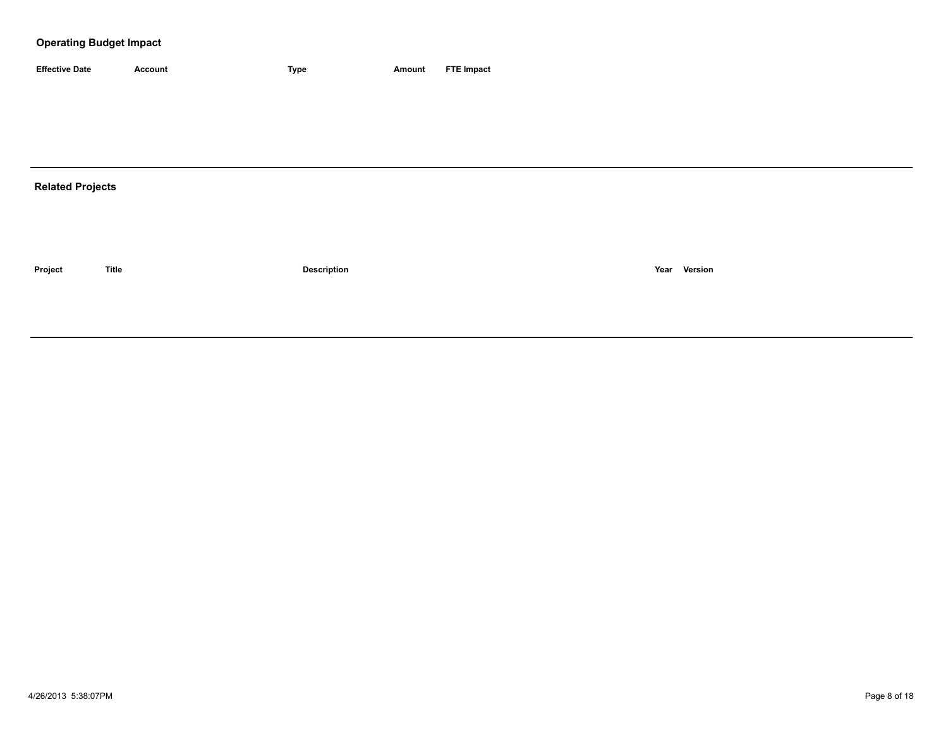| <b>Effective Date</b> | Account | <b>Type</b> | Amount | <b>FTE Impact</b> |
|-----------------------|---------|-------------|--------|-------------------|

# **Related Projects**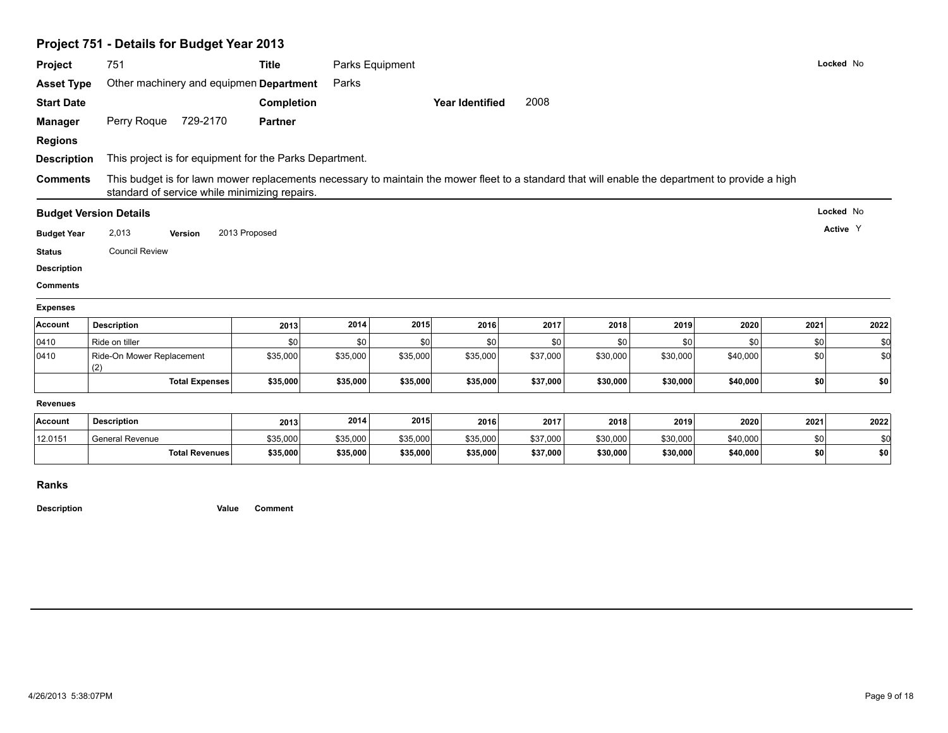|                                       | Project 751 - Details for Budget Year 2013                                                                                                                                                        |                |                 |          |                        |          |          |          |          |           |      |
|---------------------------------------|---------------------------------------------------------------------------------------------------------------------------------------------------------------------------------------------------|----------------|-----------------|----------|------------------------|----------|----------|----------|----------|-----------|------|
| Project                               | 751                                                                                                                                                                                               | <b>Title</b>   | Parks Equipment |          |                        |          |          |          |          | Locked No |      |
| <b>Asset Type</b>                     | Other machinery and equipmen Department                                                                                                                                                           |                | Parks           |          |                        |          |          |          |          |           |      |
| <b>Start Date</b>                     |                                                                                                                                                                                                   | Completion     |                 |          | <b>Year Identified</b> | 2008     |          |          |          |           |      |
| <b>Manager</b>                        | Perry Roque<br>729-2170                                                                                                                                                                           | <b>Partner</b> |                 |          |                        |          |          |          |          |           |      |
| <b>Regions</b>                        |                                                                                                                                                                                                   |                |                 |          |                        |          |          |          |          |           |      |
| <b>Description</b>                    | This project is for equipment for the Parks Department.                                                                                                                                           |                |                 |          |                        |          |          |          |          |           |      |
| <b>Comments</b>                       | This budget is for lawn mower replacements necessary to maintain the mower fleet to a standard that will enable the department to provide a high<br>standard of service while minimizing repairs. |                |                 |          |                        |          |          |          |          |           |      |
|                                       |                                                                                                                                                                                                   |                |                 |          |                        |          |          |          |          | Locked No |      |
|                                       | <b>Budget Version Details</b>                                                                                                                                                                     |                |                 |          |                        |          |          |          |          |           |      |
| <b>Budget Year</b>                    | 2,013<br>Version                                                                                                                                                                                  | 2013 Proposed  |                 |          |                        |          |          |          |          | Active Y  |      |
| <b>Status</b>                         | <b>Council Review</b>                                                                                                                                                                             |                |                 |          |                        |          |          |          |          |           |      |
|                                       |                                                                                                                                                                                                   |                |                 |          |                        |          |          |          |          |           |      |
| <b>Description</b><br><b>Comments</b> |                                                                                                                                                                                                   |                |                 |          |                        |          |          |          |          |           |      |
|                                       |                                                                                                                                                                                                   |                |                 |          |                        |          |          |          |          |           |      |
| <b>Expenses</b><br>Account            | <b>Description</b>                                                                                                                                                                                | 2013           | 2014            | 2015     | 2016                   | 2017     | 2018     | 2019     | 2020     | 2021      | 2022 |
|                                       | Ride on tiller                                                                                                                                                                                    | \$0            | \$0             | \$0      | \$0                    | \$0      | \$0      | \$0      | \$0      | \$0       | \$0  |
| 0410<br>0410                          | Ride-On Mower Replacement                                                                                                                                                                         | \$35,000       | \$35,000        | \$35,000 | \$35,000               | \$37,000 | \$30,000 | \$30,000 | \$40,000 | \$0       | \$d  |
|                                       | (2)<br><b>Total Expenses</b>                                                                                                                                                                      | \$35,000       | \$35,000        | \$35,000 | \$35,000               | \$37,000 | \$30,000 | \$30,000 | \$40,000 | \$0       | \$0  |
| <b>Revenues</b>                       |                                                                                                                                                                                                   |                |                 |          |                        |          |          |          |          |           |      |
| Account                               | <b>Description</b>                                                                                                                                                                                | 2013           | 2014            | 2015     | 2016                   | 2017     | 2018     | 2019     | 2020     | 2021      | 2022 |
| 12.0151                               | <b>General Revenue</b>                                                                                                                                                                            | \$35,000       | \$35,000        | \$35,000 | \$35,000               | \$37,000 | \$30,000 | \$30,000 | \$40,000 | \$0       | \$d  |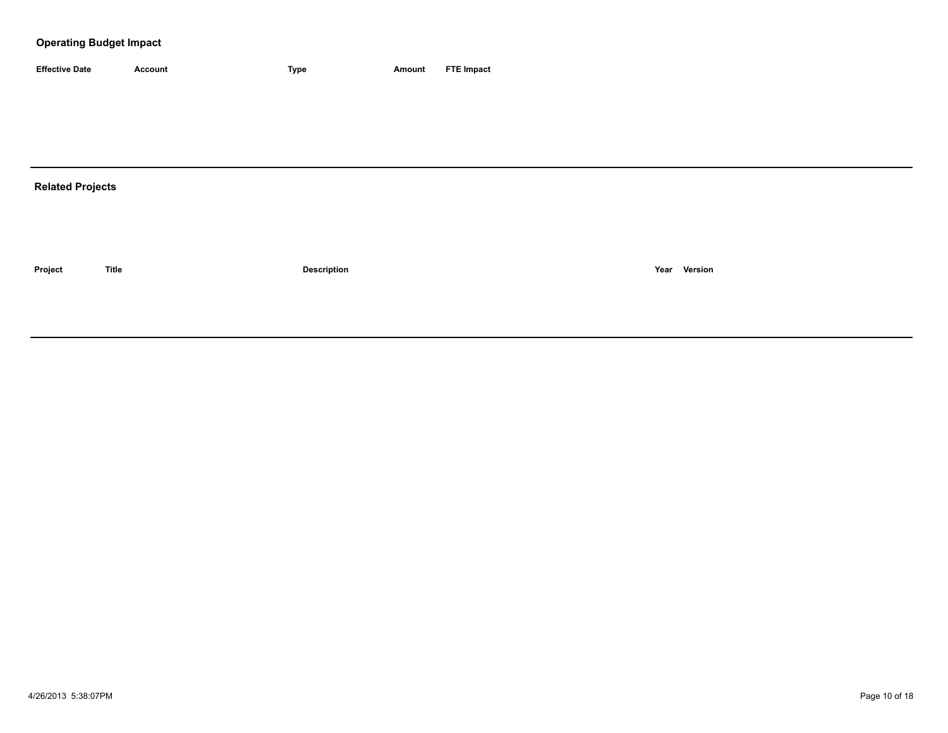| <b>Effective Date</b> | Account | <b>Type</b> | Amount | <b>FTE Impact</b> |
|-----------------------|---------|-------------|--------|-------------------|

# **Related Projects**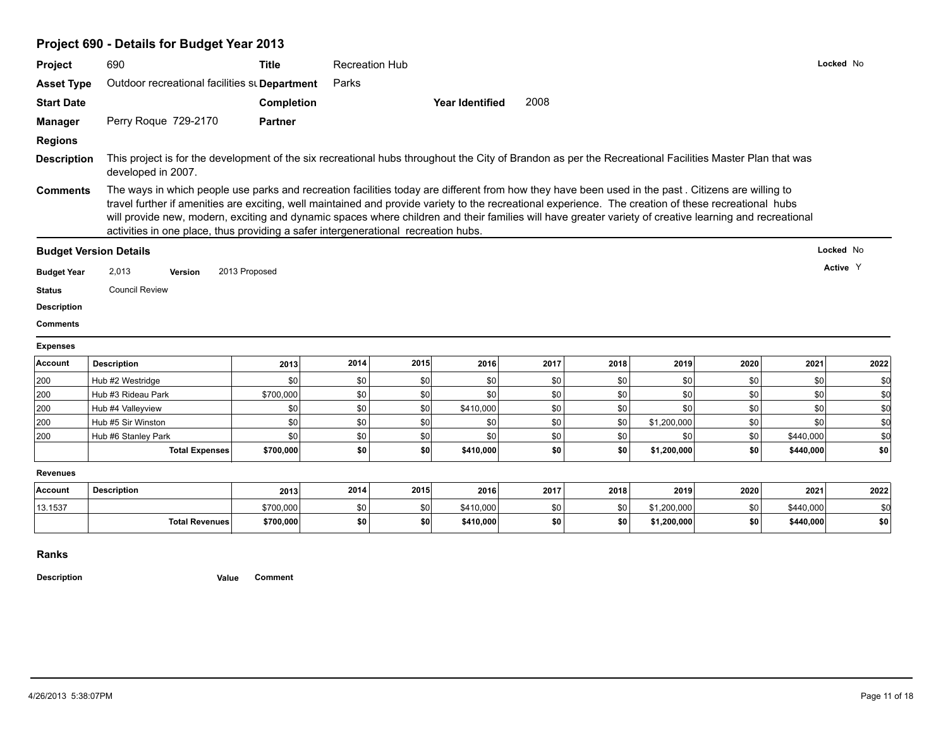| Project            | 690                                                                                                                                                                                                                                                                                                                                                                                                                                                                                                                                                          | <b>Title</b>           | <b>Recreation Hub</b> |            |                        |            |            |                            |            |                        | Locked No  |
|--------------------|--------------------------------------------------------------------------------------------------------------------------------------------------------------------------------------------------------------------------------------------------------------------------------------------------------------------------------------------------------------------------------------------------------------------------------------------------------------------------------------------------------------------------------------------------------------|------------------------|-----------------------|------------|------------------------|------------|------------|----------------------------|------------|------------------------|------------|
| <b>Asset Type</b>  | Outdoor recreational facilities st Department                                                                                                                                                                                                                                                                                                                                                                                                                                                                                                                |                        | Parks                 |            |                        |            |            |                            |            |                        |            |
| <b>Start Date</b>  |                                                                                                                                                                                                                                                                                                                                                                                                                                                                                                                                                              | <b>Completion</b>      |                       |            | <b>Year Identified</b> | 2008       |            |                            |            |                        |            |
| <b>Manager</b>     | Perry Roque 729-2170                                                                                                                                                                                                                                                                                                                                                                                                                                                                                                                                         | <b>Partner</b>         |                       |            |                        |            |            |                            |            |                        |            |
| <b>Regions</b>     |                                                                                                                                                                                                                                                                                                                                                                                                                                                                                                                                                              |                        |                       |            |                        |            |            |                            |            |                        |            |
| <b>Description</b> | This project is for the development of the six recreational hubs throughout the City of Brandon as per the Recreational Facilities Master Plan that was<br>developed in 2007.                                                                                                                                                                                                                                                                                                                                                                                |                        |                       |            |                        |            |            |                            |            |                        |            |
| <b>Comments</b>    | The ways in which people use parks and recreation facilities today are different from how they have been used in the past. Citizens are willing to<br>travel further if amenities are exciting, well maintained and provide variety to the recreational experience. The creation of these recreational hubs<br>will provide new, modern, exciting and dynamic spaces where children and their families will have greater variety of creative learning and recreational<br>activities in one place, thus providing a safer intergenerational recreation hubs. |                        |                       |            |                        |            |            |                            |            |                        |            |
|                    | <b>Budget Version Details</b>                                                                                                                                                                                                                                                                                                                                                                                                                                                                                                                                |                        |                       |            |                        |            |            |                            |            |                        | Locked No  |
|                    |                                                                                                                                                                                                                                                                                                                                                                                                                                                                                                                                                              |                        |                       |            |                        |            |            |                            |            |                        | Active Y   |
|                    |                                                                                                                                                                                                                                                                                                                                                                                                                                                                                                                                                              |                        |                       |            |                        |            |            |                            |            |                        |            |
| <b>Budget Year</b> | 2,013<br>Version                                                                                                                                                                                                                                                                                                                                                                                                                                                                                                                                             | 2013 Proposed          |                       |            |                        |            |            |                            |            |                        |            |
| <b>Status</b>      | <b>Council Review</b>                                                                                                                                                                                                                                                                                                                                                                                                                                                                                                                                        |                        |                       |            |                        |            |            |                            |            |                        |            |
| <b>Description</b> |                                                                                                                                                                                                                                                                                                                                                                                                                                                                                                                                                              |                        |                       |            |                        |            |            |                            |            |                        |            |
| <b>Comments</b>    |                                                                                                                                                                                                                                                                                                                                                                                                                                                                                                                                                              |                        |                       |            |                        |            |            |                            |            |                        |            |
| <b>Expenses</b>    |                                                                                                                                                                                                                                                                                                                                                                                                                                                                                                                                                              |                        |                       |            |                        |            |            |                            |            |                        |            |
| Account            | <b>Description</b>                                                                                                                                                                                                                                                                                                                                                                                                                                                                                                                                           | 2013                   | 2014                  | 2015       | 2016                   | 2017       | 2018       | 2019                       | 2020       | 2021                   | 2022       |
| 200                | Hub #2 Westridge                                                                                                                                                                                                                                                                                                                                                                                                                                                                                                                                             | \$0                    | \$0                   | \$0        | \$0                    | \$0        | \$0        | \$0                        | \$0        | \$0                    | \$0        |
| 200                | Hub #3 Rideau Park                                                                                                                                                                                                                                                                                                                                                                                                                                                                                                                                           | \$700,000              | \$0                   | \$0        | \$0                    | \$0        | \$0        | \$0                        | \$0        | \$0                    | \$0        |
| 200                | Hub #4 Valleyview                                                                                                                                                                                                                                                                                                                                                                                                                                                                                                                                            | \$0                    | \$0                   | \$0        | \$410,000              | \$0        | \$0        | \$0                        | \$0        | \$0                    | \$d        |
| 200                | Hub #5 Sir Winston                                                                                                                                                                                                                                                                                                                                                                                                                                                                                                                                           | \$0                    | \$0                   | \$0        | \$0                    | \$0        | \$0        | \$1,200,000                | \$0        | \$0                    | \$d        |
| 200                | Hub #6 Stanley Park                                                                                                                                                                                                                                                                                                                                                                                                                                                                                                                                          | \$0                    | \$0                   | \$0        | \$0                    | \$0        | \$0        | \$0                        | \$0        | \$440,000              | \$d        |
|                    | <b>Total Expenses</b>                                                                                                                                                                                                                                                                                                                                                                                                                                                                                                                                        | \$700,000              | \$0                   | \$0        | \$410,000              | \$0        | \$0        | \$1,200,000                | \$0        | \$440,000              | \$0        |
| <b>Revenues</b>    |                                                                                                                                                                                                                                                                                                                                                                                                                                                                                                                                                              |                        |                       |            |                        |            |            |                            |            |                        |            |
| Account            | <b>Description</b>                                                                                                                                                                                                                                                                                                                                                                                                                                                                                                                                           | 2013                   | 2014                  | 2015       | 2016                   | 2017       | 2018       | 2019                       | 2020       | 2021                   | 2022       |
|                    |                                                                                                                                                                                                                                                                                                                                                                                                                                                                                                                                                              |                        |                       |            |                        |            |            |                            |            |                        |            |
| 13.1537            | <b>Total Revenues</b>                                                                                                                                                                                                                                                                                                                                                                                                                                                                                                                                        | \$700,000<br>\$700,000 | \$0<br>\$0            | \$0<br>\$O | \$410,000<br>\$410,000 | \$0<br>\$0 | \$0<br>\$0 | \$1,200,000<br>\$1,200,000 | \$0<br>\$0 | \$440,000<br>\$440,000 | \$0<br>\$0 |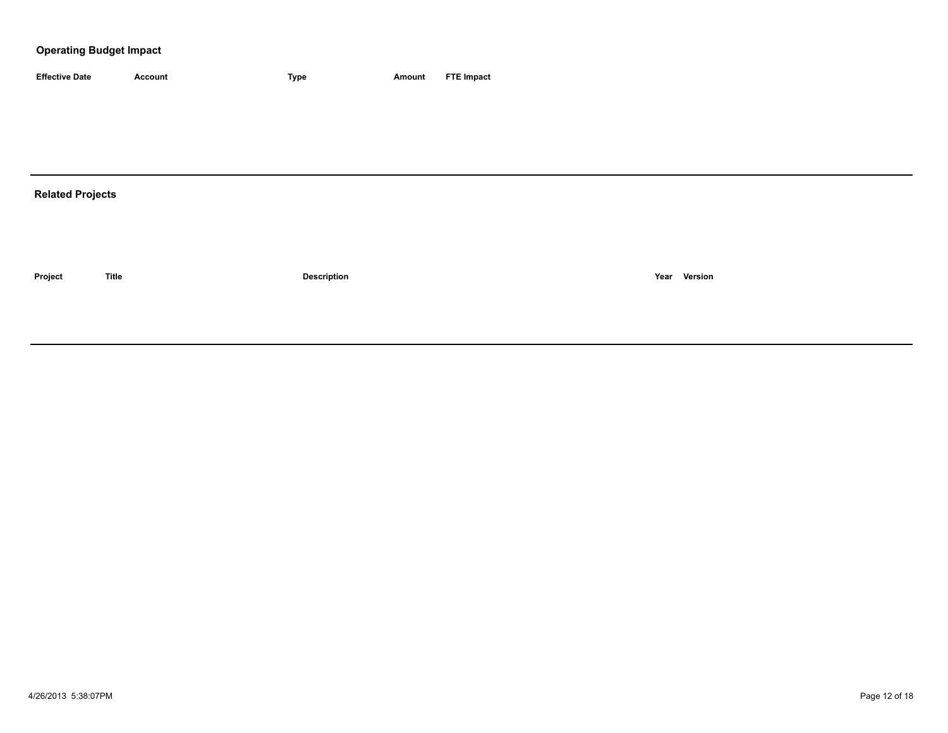| <b>Effective Date</b>   | Account      | <b>Type</b>        | Amount | <b>FTE Impact</b> |
|-------------------------|--------------|--------------------|--------|-------------------|
|                         |              |                    |        |                   |
|                         |              |                    |        |                   |
|                         |              |                    |        |                   |
|                         |              |                    |        |                   |
| <b>Related Projects</b> |              |                    |        |                   |
|                         |              |                    |        |                   |
|                         |              |                    |        |                   |
|                         |              |                    |        |                   |
| Project                 | <b>Title</b> | <b>Description</b> |        | Year Version      |
|                         |              |                    |        |                   |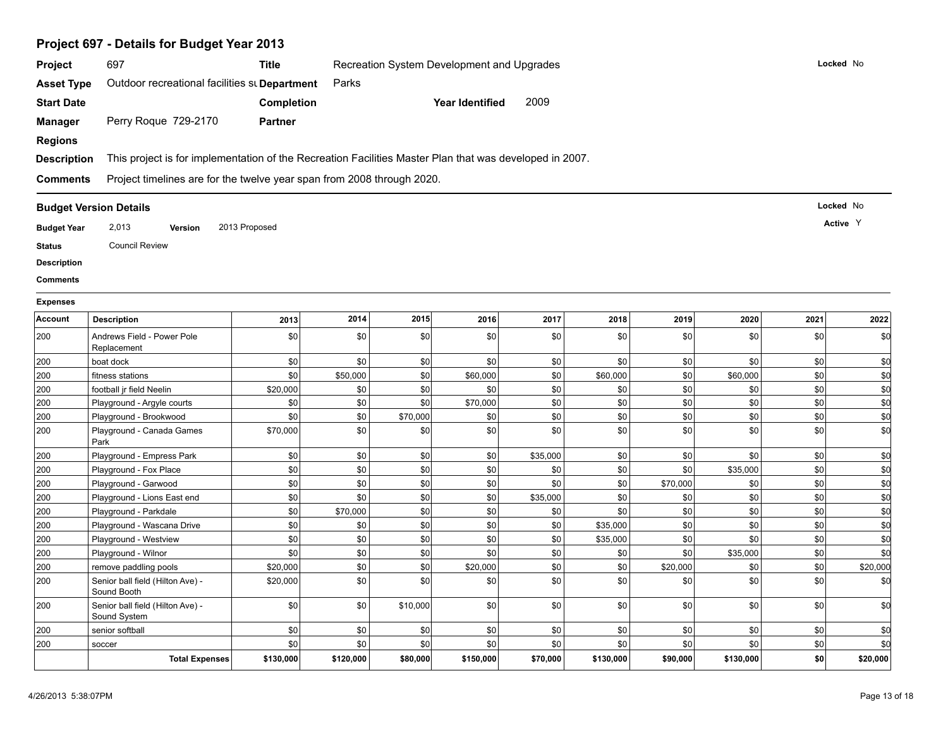|                                       | Project 697 - Details for Budget Year 2013                                                              |                   |           |                                            |                        |          |           |          |           |         |           |
|---------------------------------------|---------------------------------------------------------------------------------------------------------|-------------------|-----------|--------------------------------------------|------------------------|----------|-----------|----------|-----------|---------|-----------|
| Project                               | 697                                                                                                     | <b>Title</b>      |           | Recreation System Development and Upgrades |                        |          |           |          |           |         | Locked No |
| <b>Asset Type</b>                     | Outdoor recreational facilities st Department                                                           |                   | Parks     |                                            |                        |          |           |          |           |         |           |
| <b>Start Date</b>                     |                                                                                                         |                   |           |                                            | <b>Year Identified</b> | 2009     |           |          |           |         |           |
|                                       |                                                                                                         | <b>Completion</b> |           |                                            |                        |          |           |          |           |         |           |
| <b>Manager</b>                        | Perry Roque 729-2170                                                                                    | <b>Partner</b>    |           |                                            |                        |          |           |          |           |         |           |
| <b>Regions</b>                        |                                                                                                         |                   |           |                                            |                        |          |           |          |           |         |           |
| <b>Description</b>                    | This project is for implementation of the Recreation Facilities Master Plan that was developed in 2007. |                   |           |                                            |                        |          |           |          |           |         |           |
| <b>Comments</b>                       | Project timelines are for the twelve year span from 2008 through 2020.                                  |                   |           |                                            |                        |          |           |          |           |         |           |
|                                       | <b>Budget Version Details</b>                                                                           |                   |           |                                            |                        |          |           |          |           |         | Locked No |
| <b>Budget Year</b>                    | 2,013<br>Version                                                                                        | 2013 Proposed     |           |                                            |                        |          |           |          |           |         | Active Y  |
| <b>Status</b>                         | <b>Council Review</b>                                                                                   |                   |           |                                            |                        |          |           |          |           |         |           |
|                                       |                                                                                                         |                   |           |                                            |                        |          |           |          |           |         |           |
| <b>Description</b><br><b>Comments</b> |                                                                                                         |                   |           |                                            |                        |          |           |          |           |         |           |
|                                       |                                                                                                         |                   |           |                                            |                        |          |           |          |           |         |           |
| <b>Expenses</b>                       |                                                                                                         |                   |           |                                            |                        |          |           |          |           |         |           |
| Account                               | <b>Description</b>                                                                                      | 2013              | 2014      | 2015                                       | 2016                   | 2017     | 2018      | 2019     | 2020      | 2021    | 2022      |
| 200                                   | Andrews Field - Power Pole<br>Replacement                                                               | \$0               | \$0       | \$0                                        | \$0                    | \$0      | \$0       | \$0      | \$0       | \$0     | \$d       |
| 200                                   | boat dock                                                                                               | \$0               | \$0       | \$0                                        | \$0                    | \$0      | \$0       | \$0      | \$0       | \$0     | \$d       |
| 200                                   | fitness stations                                                                                        | \$0               | \$50,000  | \$0                                        | \$60,000               | \$0      | \$60,000  | \$0      | \$60,000  | \$0     | \$d       |
| 200                                   | football jr field Neelin                                                                                | \$20,000          | \$0       | \$0                                        | \$0                    | \$0      | \$0       | \$0      | \$0       | \$0     | \$0       |
| 200                                   | Playground - Argyle courts                                                                              | \$0               | \$0       | \$0                                        | \$70,000               | \$0      | \$0       | \$0      | \$0       | \$0     | \$0       |
| 200                                   | Playground - Brookwood                                                                                  | \$0               | \$0       | \$70,000                                   | \$0                    | \$0      | \$0       | \$0      | \$0       | \$0     | \$0       |
| 200                                   | Playground - Canada Games<br>Park                                                                       | \$70,000          | \$0       | \$0                                        | \$0                    | \$0      | \$0       | \$0      | \$0       | \$0     | \$0       |
| 200                                   | Playground - Empress Park                                                                               | \$0               | \$0       | \$0                                        | \$0                    | \$35,000 | \$0       | \$0      | \$0       | \$0     | \$0       |
| 200                                   | Playground - Fox Place                                                                                  | \$0               | \$0       | \$0                                        | \$0                    | \$0      | \$0       | \$0      | \$35,000  | \$0     | \$d       |
| 200                                   | Playground - Garwood                                                                                    | \$0               | \$0       | \$0                                        | \$0                    | \$0      | \$0       | \$70,000 | \$0       | \$0     | \$d       |
| 200                                   | Playground - Lions East end                                                                             | \$0               | \$0       | \$0                                        | \$0                    | \$35,000 | \$0       | \$0      | \$0       | \$0     | \$d       |
| 200                                   | Playground - Parkdale                                                                                   | \$0               | \$70,000  | \$0                                        | \$0                    | \$0      | \$0       | \$0      | \$0       | \$0     | \$0       |
| 200                                   | Playground - Wascana Drive                                                                              | \$0               | \$0       | \$0                                        | \$0                    | \$0      | \$35,000  | \$0      | \$0       | \$0     | \$0       |
| 200                                   | Playground - Westview                                                                                   | \$0               | \$0       | \$0                                        | \$0                    | \$0      | \$35,000  | \$0      | \$0       | \$0     | \$0       |
| 200                                   | Playground - Wilnor                                                                                     | \$0               | \$0       | \$0                                        | \$0                    | \$0      | \$0       | \$0      | \$35,000  | \$0     | \$0       |
| 200                                   | remove paddling pools                                                                                   | \$20,000          | $\$0$     | \$0                                        | \$20,000               | $\$0$    | \$0       | \$20,000 | \$0       | \$0     | \$20,000  |
| 200                                   | Senior ball field (Hilton Ave) -<br>Sound Booth                                                         | \$20,000          | \$0       | \$0                                        | \$0                    | \$0      | \$0       | \$0      | \$0       | \$0     | \$d       |
| 200                                   | Senior ball field (Hilton Ave) -<br>Sound System                                                        | \$0               | \$0       | \$10,000                                   | \$0                    | \$0      | \$0       | \$0      | \$0       | \$0     | \$d       |
| 200                                   | senior softball                                                                                         | \$0               | \$0       | \$0                                        | \$0                    | \$0      | \$0       | \$0      | $ $ \$0   | $ $ \$0 | \$d       |
| 200                                   | soccer                                                                                                  | \$0               | \$0       | \$0                                        | \$0                    | \$0      | \$0       | \$0      | \$0       | $ $ \$0 | \$d       |
|                                       | <b>Total Expenses</b>                                                                                   | \$130,000         | \$120,000 | \$80,000                                   | \$150,000              | \$70,000 | \$130,000 | \$90,000 | \$130,000 | \$0     | \$20,000  |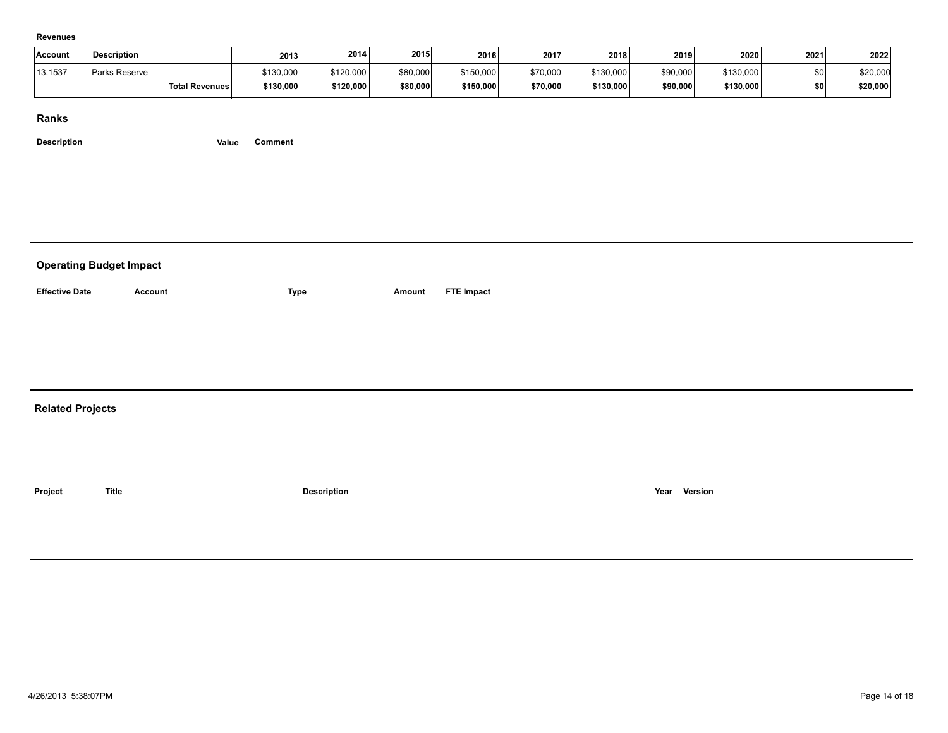#### **Revenues**

| Account | <b>Description</b> |                       | 2013      | 2014      | 2015     | 2016      | 2017     | 2018      | 2019     | 2020      | 2021 | 2022     |
|---------|--------------------|-----------------------|-----------|-----------|----------|-----------|----------|-----------|----------|-----------|------|----------|
| 13.1537 | Parks Reserve      |                       | \$130,000 | \$120,000 | \$80,000 | \$150,000 | \$70,000 | \$130,000 | \$90,000 | \$130,000 | snl  | \$20,000 |
|         |                    | <b>Total Revenues</b> | \$130,000 | \$120,000 | \$80,000 | \$150,000 | \$70,000 | \$130,000 | \$90,000 | \$130,000 | \$0  | \$20,000 |

#### **Ranks**

| <b>Operating Budget Impact</b> |                |                    |        |            |  |              |  |  |  |  |
|--------------------------------|----------------|--------------------|--------|------------|--|--------------|--|--|--|--|
| <b>Effective Date</b>          | <b>Account</b> | <b>Type</b>        | Amount | FTE Impact |  |              |  |  |  |  |
|                                |                |                    |        |            |  |              |  |  |  |  |
|                                |                |                    |        |            |  |              |  |  |  |  |
|                                |                |                    |        |            |  |              |  |  |  |  |
| <b>Related Projects</b>        |                |                    |        |            |  |              |  |  |  |  |
|                                |                |                    |        |            |  |              |  |  |  |  |
| Project                        | <b>Title</b>   | <b>Description</b> |        |            |  | Year Version |  |  |  |  |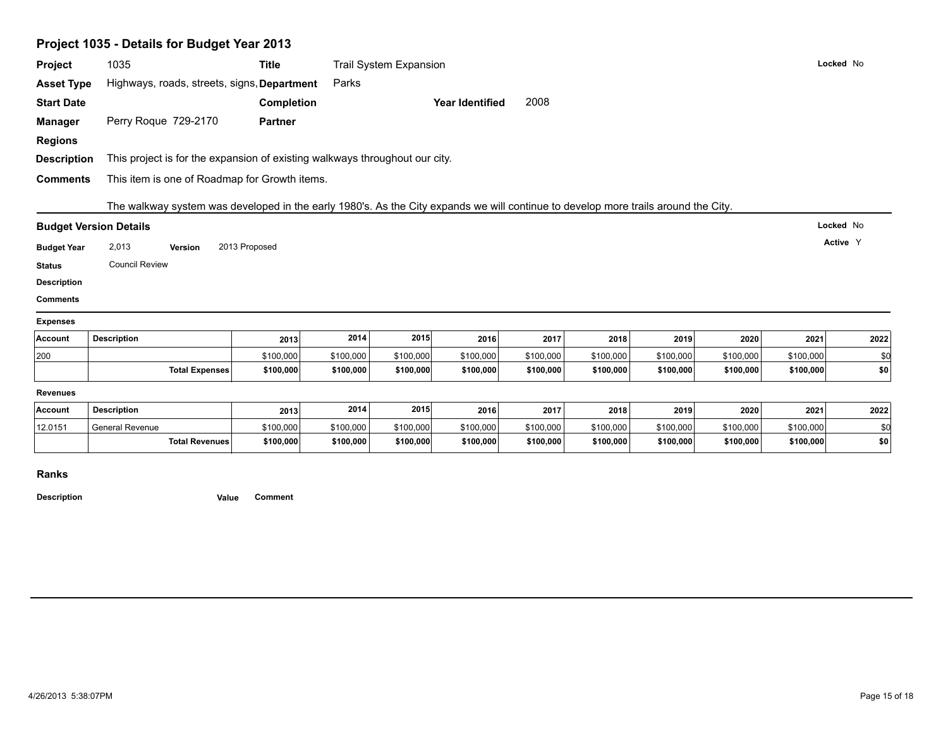| Project                                                                                     |                                                                                                                                    |                                 |           |           |                 |           |           |           |           |           |           |  |
|---------------------------------------------------------------------------------------------|------------------------------------------------------------------------------------------------------------------------------------|---------------------------------|-----------|-----------|-----------------|-----------|-----------|-----------|-----------|-----------|-----------|--|
|                                                                                             | 1035                                                                                                                               | Trail System Expansion<br>Title |           |           |                 |           |           |           |           | Locked No |           |  |
| <b>Asset Type</b>                                                                           | Highways, roads, streets, signs, Department                                                                                        |                                 | Parks     |           |                 |           |           |           |           |           |           |  |
| <b>Start Date</b>                                                                           |                                                                                                                                    | Completion                      |           |           | Year Identified | 2008      |           |           |           |           |           |  |
| <b>Manager</b>                                                                              | Perry Roque 729-2170                                                                                                               | <b>Partner</b>                  |           |           |                 |           |           |           |           |           |           |  |
| <b>Regions</b>                                                                              |                                                                                                                                    |                                 |           |           |                 |           |           |           |           |           |           |  |
| <b>Description</b>                                                                          | This project is for the expansion of existing walkways throughout our city.                                                        |                                 |           |           |                 |           |           |           |           |           |           |  |
| <b>Comments</b>                                                                             | This item is one of Roadmap for Growth items.                                                                                      |                                 |           |           |                 |           |           |           |           |           |           |  |
|                                                                                             | The walkway system was developed in the early 1980's. As the City expands we will continue to develop more trails around the City. |                                 |           |           |                 |           |           |           |           |           |           |  |
|                                                                                             | <b>Budget Version Details</b>                                                                                                      |                                 |           |           |                 |           |           |           |           |           | Locked No |  |
|                                                                                             |                                                                                                                                    |                                 |           |           |                 |           |           |           |           |           | Active Y  |  |
| <b>Budget Year</b>                                                                          | 2,013<br>Version                                                                                                                   | 2013 Proposed                   |           |           |                 |           |           |           |           |           |           |  |
|                                                                                             |                                                                                                                                    |                                 |           |           |                 |           |           |           |           |           |           |  |
|                                                                                             | <b>Council Review</b>                                                                                                              |                                 |           |           |                 |           |           |           |           |           |           |  |
|                                                                                             |                                                                                                                                    |                                 |           |           |                 |           |           |           |           |           |           |  |
|                                                                                             |                                                                                                                                    |                                 |           |           |                 |           |           |           |           |           |           |  |
|                                                                                             |                                                                                                                                    |                                 |           |           |                 |           |           |           |           |           |           |  |
|                                                                                             | <b>Description</b>                                                                                                                 | 2013                            | 2014      | 2015      | 2016            | 2017      | 2018      | 2019      | 2020      | 2021      | 2022      |  |
|                                                                                             |                                                                                                                                    | \$100,000                       | \$100,000 | \$100,000 | \$100,000       | \$100,000 | \$100,000 | \$100,000 | \$100,000 | \$100,000 | \$0       |  |
| <b>Status</b><br><b>Description</b><br><b>Comments</b><br><b>Expenses</b><br>Account<br>200 | <b>Total Expenses</b>                                                                                                              | \$100,000                       | \$100,000 | \$100,000 | \$100,000       | \$100,000 | \$100,000 | \$100,000 | \$100,000 | \$100,000 | \$0       |  |
|                                                                                             |                                                                                                                                    |                                 |           |           |                 |           |           |           |           |           |           |  |
| <b>Revenues</b><br>Account                                                                  | <b>Description</b>                                                                                                                 | 2013                            | 2014      | 2015      | 2016            | 2017      | 2018      | 2019      | 2020      | 2021      | 2022      |  |
| 12.0151                                                                                     | General Revenue                                                                                                                    | \$100,000                       | \$100,000 | \$100,000 | \$100,000       | \$100,000 | \$100,000 | \$100,000 | \$100,000 | \$100,000 | \$0       |  |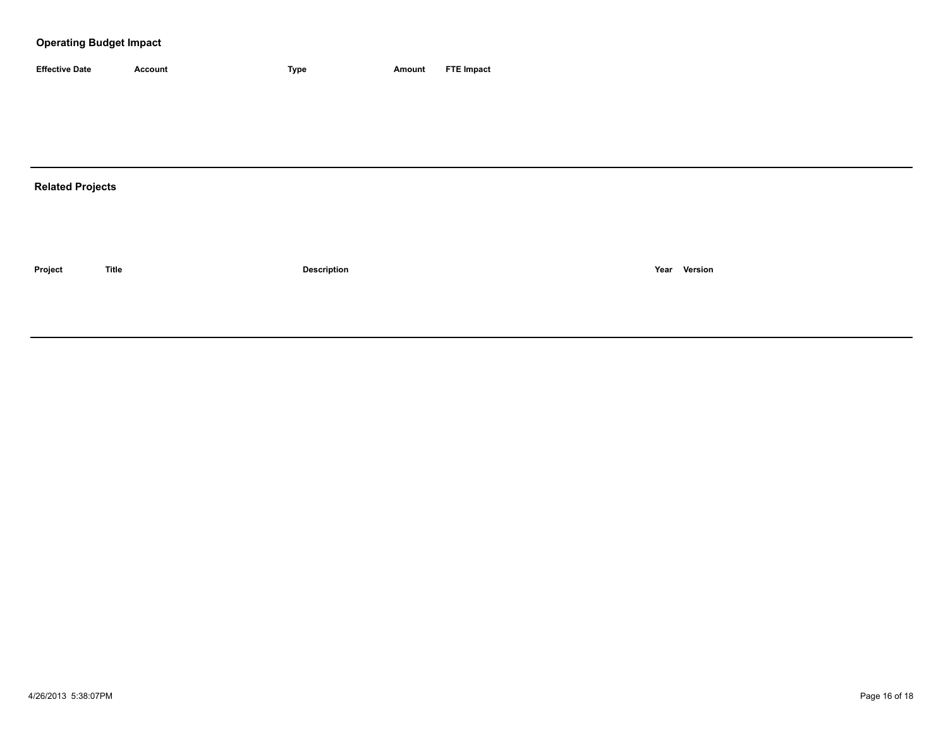| <b>Effective Date</b> | Account | <b>Type</b> | Amount | <b>FTE Impact</b> |
|-----------------------|---------|-------------|--------|-------------------|

# **Related Projects**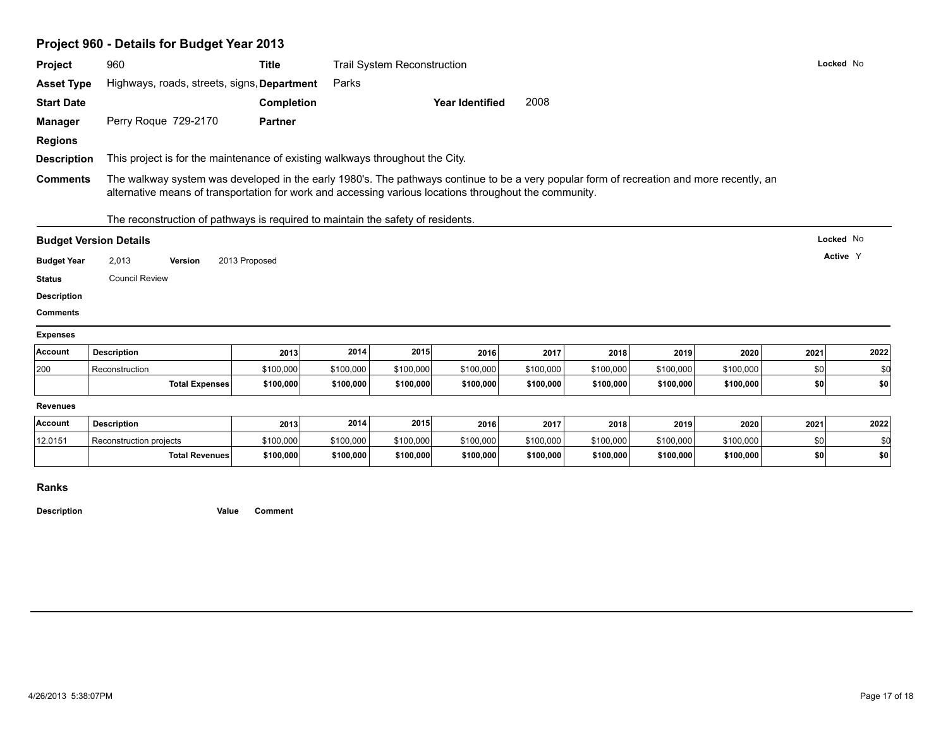|                                                  | Project 960 - Details for Budget Year 2013                                      |                                                                                                                                                                                                                                                                                                                                      |           |                                    |                        |           |           |           |           |      |           |  |
|--------------------------------------------------|---------------------------------------------------------------------------------|--------------------------------------------------------------------------------------------------------------------------------------------------------------------------------------------------------------------------------------------------------------------------------------------------------------------------------------|-----------|------------------------------------|------------------------|-----------|-----------|-----------|-----------|------|-----------|--|
| Project                                          | 960                                                                             | <b>Title</b>                                                                                                                                                                                                                                                                                                                         |           | <b>Trail System Reconstruction</b> |                        |           |           |           |           |      | Locked No |  |
| <b>Asset Type</b>                                | Highways, roads, streets, signs, Department                                     |                                                                                                                                                                                                                                                                                                                                      | Parks     |                                    |                        |           |           |           |           |      |           |  |
| <b>Start Date</b>                                |                                                                                 | Completion                                                                                                                                                                                                                                                                                                                           |           |                                    | <b>Year Identified</b> | 2008      |           |           |           |      |           |  |
| <b>Manager</b>                                   | Perry Roque 729-2170                                                            | <b>Partner</b>                                                                                                                                                                                                                                                                                                                       |           |                                    |                        |           |           |           |           |      |           |  |
| <b>Regions</b>                                   |                                                                                 |                                                                                                                                                                                                                                                                                                                                      |           |                                    |                        |           |           |           |           |      |           |  |
| <b>Description</b>                               |                                                                                 |                                                                                                                                                                                                                                                                                                                                      |           |                                    |                        |           |           |           |           |      |           |  |
| <b>Comments</b>                                  |                                                                                 | This project is for the maintenance of existing walkways throughout the City.<br>The walkway system was developed in the early 1980's. The pathways continue to be a very popular form of recreation and more recently, an<br>alternative means of transportation for work and accessing various locations throughout the community. |           |                                    |                        |           |           |           |           |      |           |  |
|                                                  | The reconstruction of pathways is required to maintain the safety of residents. |                                                                                                                                                                                                                                                                                                                                      |           |                                    |                        |           |           |           |           |      |           |  |
|                                                  | <b>Budget Version Details</b>                                                   |                                                                                                                                                                                                                                                                                                                                      |           |                                    |                        |           |           |           |           |      | Locked No |  |
|                                                  |                                                                                 |                                                                                                                                                                                                                                                                                                                                      |           |                                    |                        |           |           |           |           |      |           |  |
| <b>Budget Year</b>                               | 2,013<br>Version                                                                | 2013 Proposed                                                                                                                                                                                                                                                                                                                        |           |                                    |                        |           |           |           |           |      | Active Y  |  |
| <b>Status</b>                                    | <b>Council Review</b>                                                           |                                                                                                                                                                                                                                                                                                                                      |           |                                    |                        |           |           |           |           |      |           |  |
|                                                  |                                                                                 |                                                                                                                                                                                                                                                                                                                                      |           |                                    |                        |           |           |           |           |      |           |  |
|                                                  |                                                                                 |                                                                                                                                                                                                                                                                                                                                      |           |                                    |                        |           |           |           |           |      |           |  |
| <b>Comments</b>                                  |                                                                                 |                                                                                                                                                                                                                                                                                                                                      |           |                                    |                        |           |           |           |           |      |           |  |
| <b>Description</b><br><b>Expenses</b><br>Account | <b>Description</b>                                                              | 2013                                                                                                                                                                                                                                                                                                                                 | 2014      | 2015                               | 2016                   | 2017      | 2018      | 2019      | 2020      | 2021 | 2022      |  |
| 200                                              | Reconstruction                                                                  | \$100,000                                                                                                                                                                                                                                                                                                                            | \$100,000 | \$100,000                          | \$100,000              | \$100,000 | \$100,000 | \$100,000 | \$100,000 | \$0  | \$0       |  |
|                                                  | <b>Total Expenses</b>                                                           | \$100,000                                                                                                                                                                                                                                                                                                                            | \$100,000 | \$100,000                          | \$100,000              | \$100,000 | \$100,000 | \$100,000 | \$100,000 | \$0  | \$0       |  |
| <b>Revenues</b>                                  |                                                                                 |                                                                                                                                                                                                                                                                                                                                      |           |                                    |                        |           |           |           |           |      |           |  |
|                                                  | <b>Description</b>                                                              | 2013                                                                                                                                                                                                                                                                                                                                 | 2014      | 2015                               | 2016                   | 2017      | 2018      | 2019      | 2020      | 2021 | 2022      |  |
| Account<br>12.0151                               | Reconstruction projects                                                         | \$100,000                                                                                                                                                                                                                                                                                                                            | \$100,000 | \$100,000                          | \$100,000              | \$100,000 | \$100,000 | \$100,000 | \$100,000 | \$0  | \$0       |  |